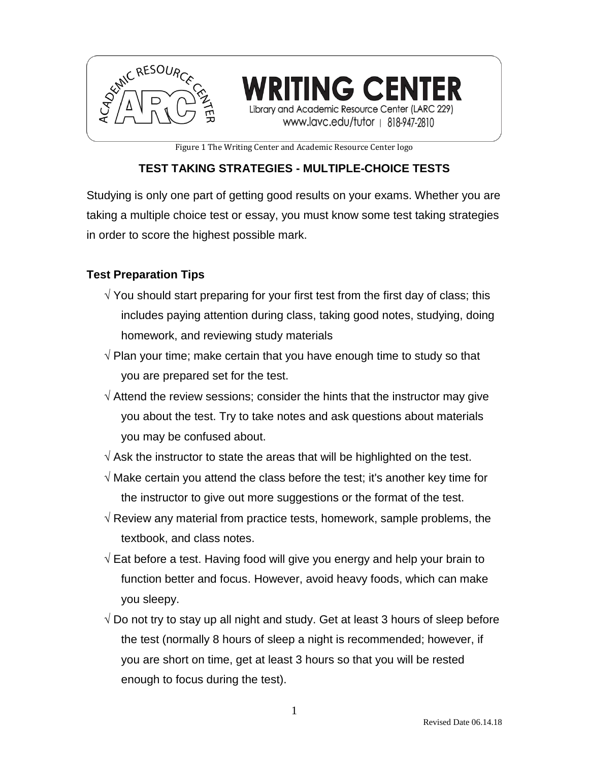

**ING CENTER** cademic Resource Center (LARC 229)

www.lavc.edu/tutor | 818-947-2810

Figure 1 The Writing Center and Academic Resource Center logo

# **TEST TAKING STRATEGIES - MULTIPLE-CHOICE TESTS**

Studying is only one part of getting good results on your exams. Whether you are taking a multiple choice test or essay, you must know some test taking strategies in order to score the highest possible mark.

# **Test Preparation Tips**

- $\sqrt{y}$  You should start preparing for your first test from the first day of class; this includes paying attention during class, taking good notes, studying, doing homework, and reviewing study materials
- $\sqrt{P}$  Plan your time; make certain that you have enough time to study so that you are prepared set for the test.
- $\sqrt{ }$  Attend the review sessions; consider the hints that the instructor may give you about the test. Try to take notes and ask questions about materials you may be confused about.
- $\sqrt{ }$  Ask the instructor to state the areas that will be highlighted on the test.
- $\sqrt{ }$  Make certain you attend the class before the test; it's another key time for the instructor to give out more suggestions or the format of the test.
- $\sqrt{R}$  Review any material from practice tests, homework, sample problems, the textbook, and class notes.
- $\sqrt{2}$  Eat before a test. Having food will give you energy and help your brain to function better and focus. However, avoid heavy foods, which can make you sleepy.
- $\sqrt{2}$  Do not try to stay up all night and study. Get at least 3 hours of sleep before the test (normally 8 hours of sleep a night is recommended; however, if you are short on time, get at least 3 hours so that you will be rested enough to focus during the test).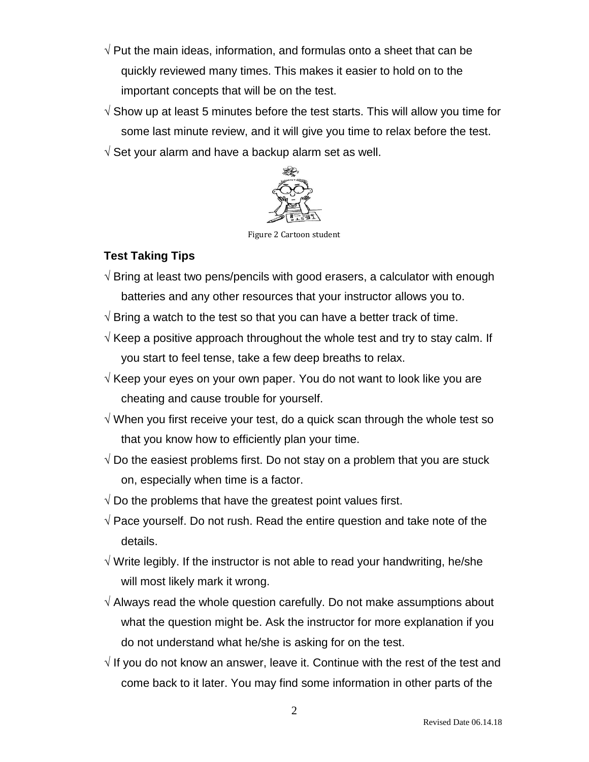- $\sqrt{P}$ ut the main ideas, information, and formulas onto a sheet that can be quickly reviewed many times. This makes it easier to hold on to the important concepts that will be on the test.
- $\sqrt{2}$  Show up at least 5 minutes before the test starts. This will allow you time for some last minute review, and it will give you time to relax before the test.
- $\sqrt{S}$  Set your alarm and have a backup alarm set as well.



Figure 2 Cartoon student

# **Test Taking Tips**

- $\sqrt{2}$  Bring at least two pens/pencils with good erasers, a calculator with enough batteries and any other resources that your instructor allows you to.
- $\sqrt{2}$  Bring a watch to the test so that you can have a better track of time.
- $\sqrt{K}$  Keep a positive approach throughout the whole test and try to stay calm. If you start to feel tense, take a few deep breaths to relax.
- $\sqrt{K}$  Keep your eyes on your own paper. You do not want to look like you are cheating and cause trouble for yourself.
- $\sqrt{ }$  When you first receive your test, do a quick scan through the whole test so that you know how to efficiently plan your time.
- $\sqrt{2}$  Do the easiest problems first. Do not stay on a problem that you are stuck on, especially when time is a factor.
- $\sqrt{2}$  Do the problems that have the greatest point values first.
- $\sqrt{P}$  Pace yourself. Do not rush. Read the entire question and take note of the details.
- $\sqrt{ }$  Write legibly. If the instructor is not able to read your handwriting, he/she will most likely mark it wrong.
- $\sqrt{ }$  Always read the whole question carefully. Do not make assumptions about what the question might be. Ask the instructor for more explanation if you do not understand what he/she is asking for on the test.
- $\sqrt{1}$  If you do not know an answer, leave it. Continue with the rest of the test and come back to it later. You may find some information in other parts of the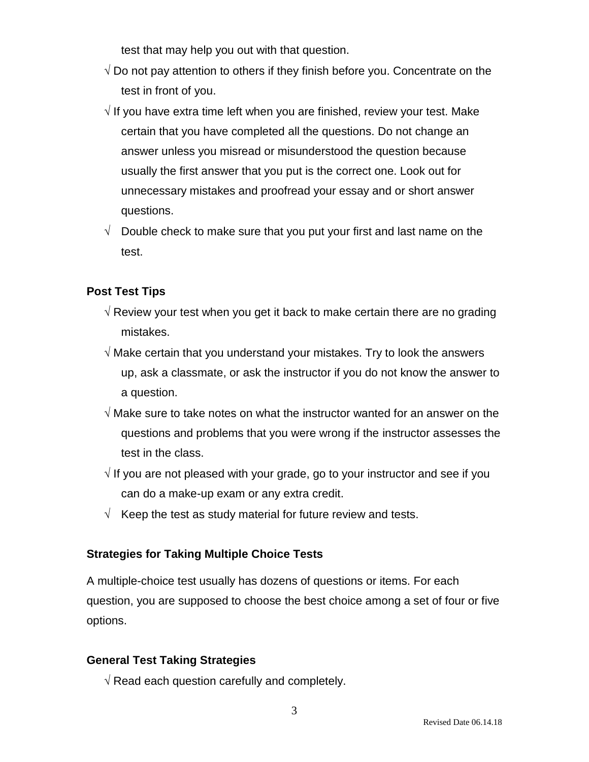test that may help you out with that question.

- $\sqrt{2}$  Do not pay attention to others if they finish before you. Concentrate on the test in front of you.
- $\sqrt{1}$  If you have extra time left when you are finished, review your test. Make certain that you have completed all the questions. Do not change an answer unless you misread or misunderstood the question because usually the first answer that you put is the correct one. Look out for unnecessary mistakes and proofread your essay and or short answer questions.
- $\sqrt{ }$  Double check to make sure that you put your first and last name on the test.

# **Post Test Tips**

- $\sqrt{ }$  Review your test when you get it back to make certain there are no grading mistakes.
- $\sqrt{ }$  Make certain that you understand your mistakes. Try to look the answers up, ask a classmate, or ask the instructor if you do not know the answer to a question.
- $\sqrt{ }$  Make sure to take notes on what the instructor wanted for an answer on the questions and problems that you were wrong if the instructor assesses the test in the class.
- $\sqrt{1}$  If you are not pleased with your grade, go to your instructor and see if you can do a make-up exam or any extra credit.
- $\sqrt{ }$  Keep the test as study material for future review and tests.

#### **Strategies for Taking Multiple Choice Tests**

A multiple-choice test usually has dozens of questions or items. For each question, you are supposed to choose the best choice among a set of four or five options.

#### **General Test Taking Strategies**

 $\sqrt{R}$  Read each question carefully and completely.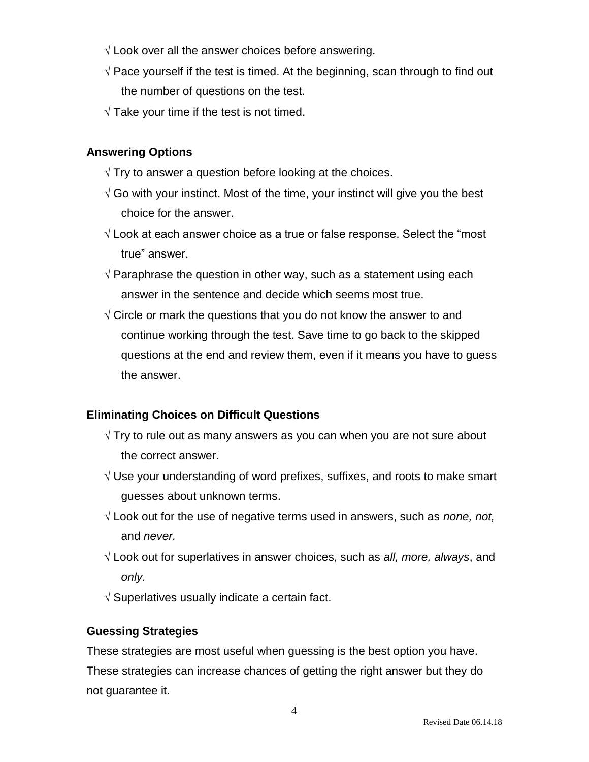- $\sqrt{2}$  Look over all the answer choices before answering.
- $\sqrt{P}$  Pace yourself if the test is timed. At the beginning, scan through to find out the number of questions on the test.
- $\sqrt{T}$ ake your time if the test is not timed.

# **Answering Options**

- $\sqrt{T}$  Try to answer a question before looking at the choices.
- $\sqrt{2}$  Go with your instinct. Most of the time, your instinct will give you the best choice for the answer.
- $\sqrt{2}$  Look at each answer choice as a true or false response. Select the "most" true" answer.
- $\sqrt{P}$  Paraphrase the question in other way, such as a statement using each answer in the sentence and decide which seems most true.
- $\sqrt{2}$  Circle or mark the questions that you do not know the answer to and continue working through the test. Save time to go back to the skipped questions at the end and review them, even if it means you have to guess the answer.

# **Eliminating Choices on Difficult Questions**

- $\sqrt{T}$ ry to rule out as many answers as you can when you are not sure about the correct answer.
- $\sqrt{}$  Use your understanding of word prefixes, suffixes, and roots to make smart guesses about unknown terms.
- $\sqrt{2}$  Look out for the use of negative terms used in answers, such as *none, not,* and *never.*
- Look out for superlatives in answer choices, such as *all, more, always*, and *only.*
- $\sqrt{ }$  Superlatives usually indicate a certain fact.

#### **Guessing Strategies**

These strategies are most useful when guessing is the best option you have. These strategies can increase chances of getting the right answer but they do not guarantee it.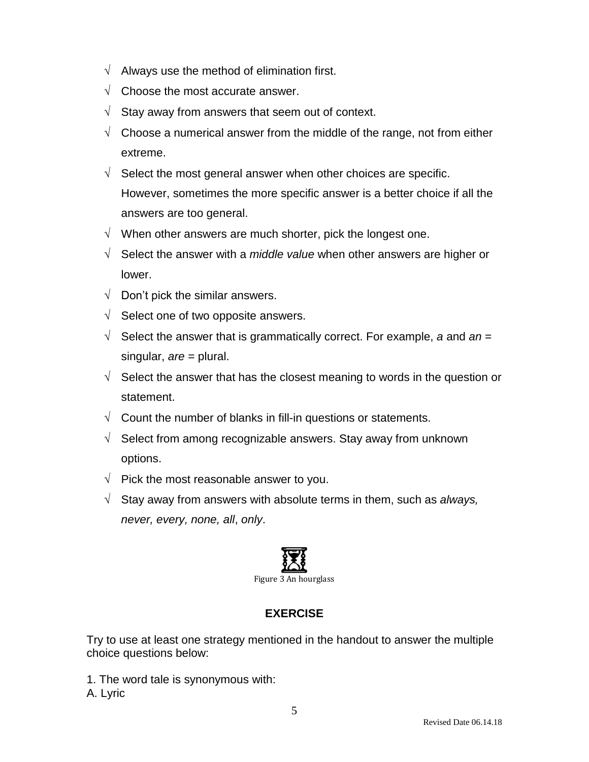- $\sqrt{ }$  Always use the method of elimination first.
- $\sqrt{\phantom{a}}$  Choose the most accurate answer.
- $\sqrt{\phantom{a}}$  Stay away from answers that seem out of context.
- $\sqrt{\phantom{a}}$  Choose a numerical answer from the middle of the range, not from either extreme.
- $\sqrt{\phantom{a}}$  Select the most general answer when other choices are specific. However, sometimes the more specific answer is a better choice if all the answers are too general.
- $\sqrt{\phantom{a}}$  When other answers are much shorter, pick the longest one.
- $\sqrt{\phantom{a}}$  Select the answer with a *middle value* when other answers are higher or lower.
- $\sqrt{ }$  Don't pick the similar answers.
- $\sqrt{\phantom{a}}$  Select one of two opposite answers.
- $\sqrt{\phantom{a}}$  Select the answer that is grammatically correct. For example, a and an = singular, *are* = plural.
- $\sqrt{ }$  Select the answer that has the closest meaning to words in the question or statement.
- $\sqrt{ }$  Count the number of blanks in fill-in questions or statements.
- $\sqrt{ }$  Select from among recognizable answers. Stay away from unknown options.
- $\sqrt{\phantom{a}}$  Pick the most reasonable answer to you.
- $\sqrt{\phantom{a}}$  Stay away from answers with absolute terms in them, such as *always*, *never, every, none, all*, *only*.



# **EXERCISE**

Try to use at least one strategy mentioned in the handout to answer the multiple choice questions below:

- 1. The word tale is synonymous with:
- A. Lyric